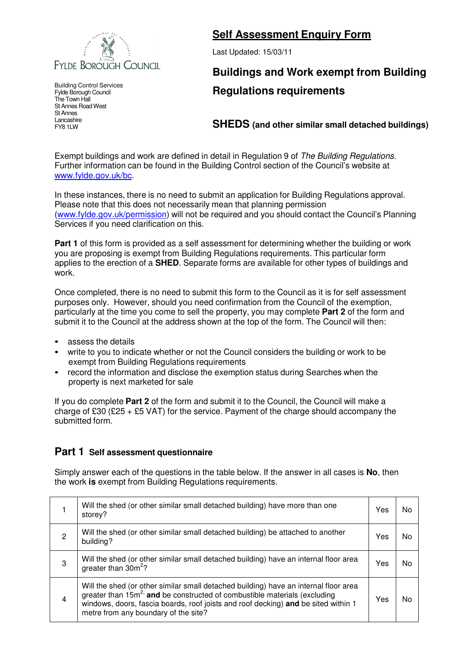

Building Control Services Fylde Borough Council The Town Hall St Annes Road West St Annes Lancashire FY8 1LW

## **Self Assessment Enquiry Form**

Last Updated: 15/03/11

## **Buildings and Work exempt from Building Regulations requirements**

**SHEDS (and other similar small detached buildings)**

Exempt buildings and work are defined in detail in Regulation 9 of The Building Regulations. Further information can be found in the Building Control section of the Council's website at www.fylde.gov.uk/bc.

In these instances, there is no need to submit an application for Building Regulations approval. Please note that this does not necessarily mean that planning permission (www.fylde.gov.uk/permission) will not be required and you should contact the Council's Planning Services if you need clarification on this.

**Part 1** of this form is provided as a self assessment for determining whether the building or work you are proposing is exempt from Building Regulations requirements. This particular form applies to the erection of a **SHED**. Separate forms are available for other types of buildings and work.

Once completed, there is no need to submit this form to the Council as it is for self assessment purposes only. However, should you need confirmation from the Council of the exemption, particularly at the time you come to sell the property, you may complete **Part 2** of the form and submit it to the Council at the address shown at the top of the form. The Council will then:

- assess the details
- write to you to indicate whether or not the Council considers the building or work to be exempt from Building Regulations requirements
- record the information and disclose the exemption status during Searches when the property is next marketed for sale

If you do complete **Part 2** of the form and submit it to the Council, the Council will make a charge of £30 (£25 + £5 VAT) for the service. Payment of the charge should accompany the submitted form.

## **Part 1 Self assessment questionnaire**

Simply answer each of the questions in the table below. If the answer in all cases is **No**, then the work **is** exempt from Building Regulations requirements.

|                | Will the shed (or other similar small detached building) have more than one<br>storey?                                                                                                                                                                                                                     | Yes | N٥ |
|----------------|------------------------------------------------------------------------------------------------------------------------------------------------------------------------------------------------------------------------------------------------------------------------------------------------------------|-----|----|
| 2              | Will the shed (or other similar small detached building) be attached to another<br>building?                                                                                                                                                                                                               | Yes | N٥ |
| 3              | Will the shed (or other similar small detached building) have an internal floor area<br>greater than $30m^2$ ?                                                                                                                                                                                             | Yes | N٥ |
| $\overline{4}$ | Will the shed (or other similar small detached building) have an internal floor area<br>greater than 15m <sup>2</sup> and be constructed of combustible materials (excluding<br>windows, doors, fascia boards, roof joists and roof decking) and be sited within 1<br>metre from any boundary of the site? | Yes | No |